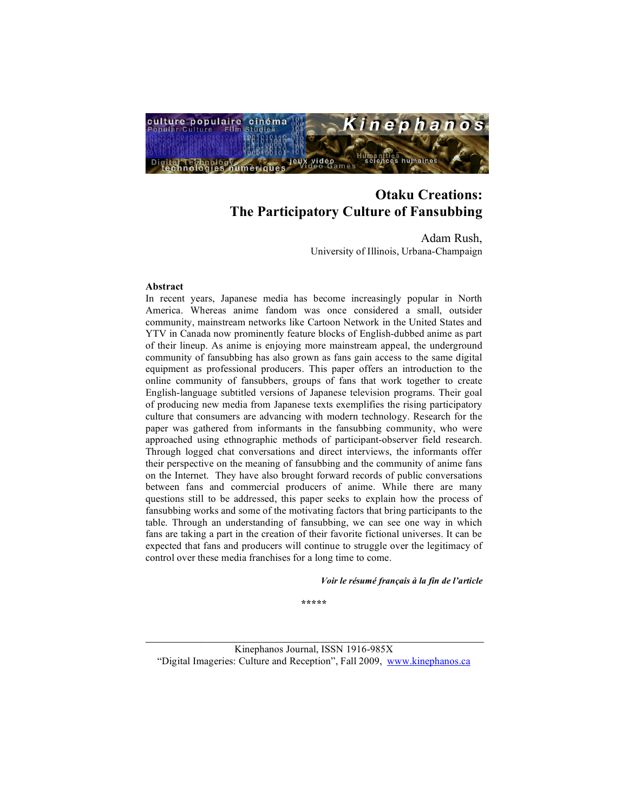

Adam Rush, University of Illinois, Urbana-Champaign

#### **Abstract**

In recent years, Japanese media has become increasingly popular in North America. Whereas anime fandom was once considered a small, outsider community, mainstream networks like Cartoon Network in the United States and YTV in Canada now prominently feature blocks of English-dubbed anime as part of their lineup. As anime is enjoying more mainstream appeal, the underground community of fansubbing has also grown as fans gain access to the same digital equipment as professional producers. This paper offers an introduction to the online community of fansubbers, groups of fans that work together to create English-language subtitled versions of Japanese television programs. Their goal of producing new media from Japanese texts exemplifies the rising participatory culture that consumers are advancing with modern technology. Research for the paper was gathered from informants in the fansubbing community, who were approached using ethnographic methods of participant-observer field research. Through logged chat conversations and direct interviews, the informants offer their perspective on the meaning of fansubbing and the community of anime fans on the Internet. They have also brought forward records of public conversations between fans and commercial producers of anime. While there are many questions still to be addressed, this paper seeks to explain how the process of fansubbing works and some of the motivating factors that bring participants to the table. Through an understanding of fansubbing, we can see one way in which fans are taking a part in the creation of their favorite fictional universes. It can be expected that fans and producers will continue to struggle over the legitimacy of control over these media franchises for a long time to come.

*Voir le résumé français à la fin de l'article*

**\*\*\*\*\***

 $\mathcal{L}_\text{max}$  and the contract of the contract of the contract of the contract of the contract of the contract of the contract of the contract of the contract of the contract of the contract of the contract of the contrac Kinephanos Journal, ISSN 1916-985X "Digital Imageries: Culture and Reception", Fall 2009, www.kinephanos.ca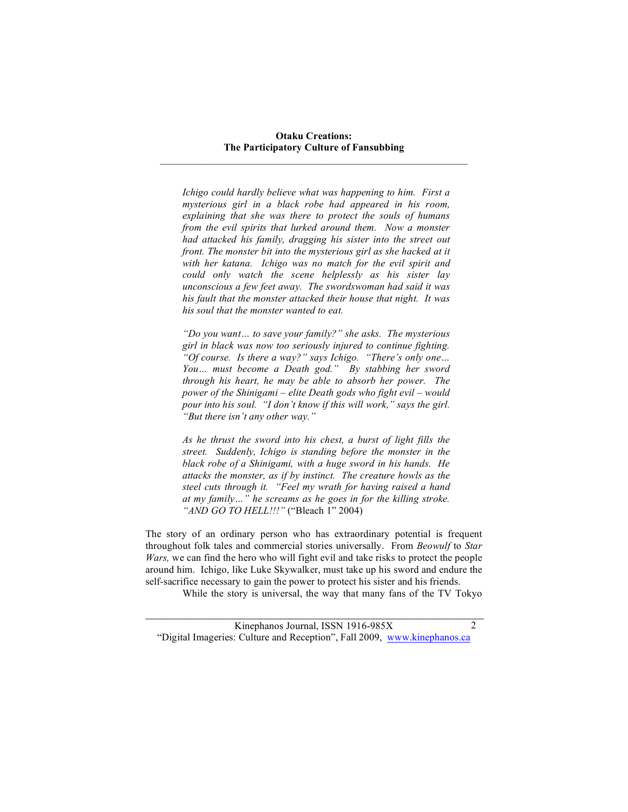*Ichigo could hardly believe what was happening to him. First a mysterious girl in a black robe had appeared in his room, explaining that she was there to protect the souls of humans from the evil spirits that lurked around them. Now a monster had attacked his family, dragging his sister into the street out front. The monster bit into the mysterious girl as she hacked at it with her katana. Ichigo was no match for the evil spirit and could only watch the scene helplessly as his sister lay unconscious a few feet away. The swordswoman had said it was his fault that the monster attacked their house that night. It was his soul that the monster wanted to eat.*

*"Do you want… to save your family?" she asks. The mysterious girl in black was now too seriously injured to continue fighting. "Of course. Is there a way?" says Ichigo. "There's only one… You… must become a Death god." By stabbing her sword through his heart, he may be able to absorb her power. The power of the Shinigami – elite Death gods who fight evil – would pour into his soul. "I don't know if this will work," says the girl. "But there isn't any other way."*

*As he thrust the sword into his chest, a burst of light fills the street. Suddenly, Ichigo is standing before the monster in the black robe of a Shinigami, with a huge sword in his hands. He attacks the monster, as if by instinct. The creature howls as the steel cuts through it. "Feel my wrath for having raised a hand at my family…" he screams as he goes in for the killing stroke. "AND GO TO HELL!!!"* ("Bleach 1" 2004)

The story of an ordinary person who has extraordinary potential is frequent throughout folk tales and commercial stories universally. From *Beowulf* to *Star Wars,* we can find the hero who will fight evil and take risks to protect the people around him. Ichigo, like Luke Skywalker, must take up his sword and endure the self-sacrifice necessary to gain the power to protect his sister and his friends.

While the story is universal, the way that many fans of the TV Tokyo

 $\mathcal{L}_\text{max}$  , and the contribution of the contribution of the contribution of the contribution of the contribution of the contribution of the contribution of the contribution of the contribution of the contribution of t Kinephanos Journal, ISSN 1916-985X "Digital Imageries: Culture and Reception", Fall 2009, www.kinephanos.ca

2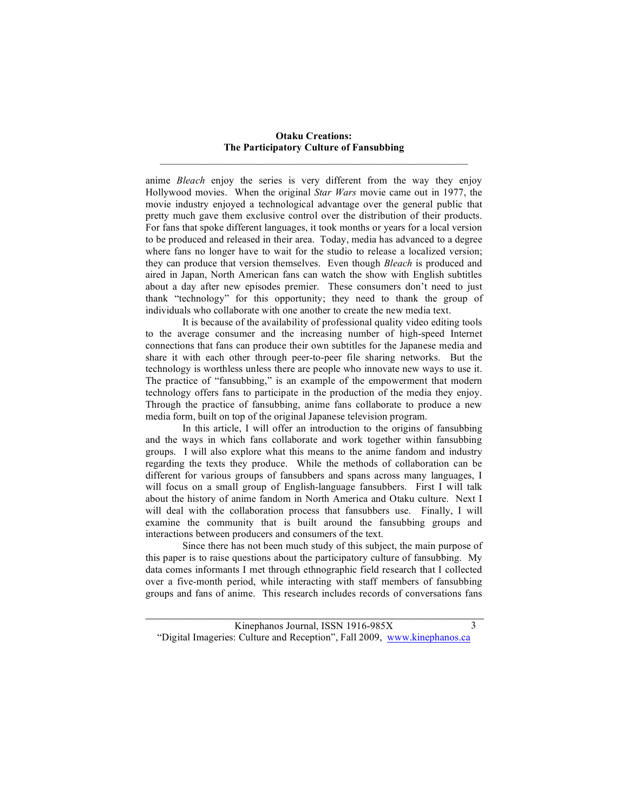anime *Bleach* enjoy the series is very different from the way they enjoy Hollywood movies. When the original *Star Wars* movie came out in 1977, the movie industry enjoyed a technological advantage over the general public that pretty much gave them exclusive control over the distribution of their products. For fans that spoke different languages, it took months or years for a local version to be produced and released in their area. Today, media has advanced to a degree where fans no longer have to wait for the studio to release a localized version; they can produce that version themselves. Even though *Bleach* is produced and aired in Japan, North American fans can watch the show with English subtitles about a day after new episodes premier. These consumers don't need to just thank "technology" for this opportunity; they need to thank the group of individuals who collaborate with one another to create the new media text.

It is because of the availability of professional quality video editing tools to the average consumer and the increasing number of high-speed Internet connections that fans can produce their own subtitles for the Japanese media and share it with each other through peer-to-peer file sharing networks. But the technology is worthless unless there are people who innovate new ways to use it. The practice of "fansubbing," is an example of the empowerment that modern technology offers fans to participate in the production of the media they enjoy. Through the practice of fansubbing, anime fans collaborate to produce a new media form, built on top of the original Japanese television program.

In this article, I will offer an introduction to the origins of fansubbing and the ways in which fans collaborate and work together within fansubbing groups. I will also explore what this means to the anime fandom and industry regarding the texts they produce. While the methods of collaboration can be different for various groups of fansubbers and spans across many languages, I will focus on a small group of English-language fansubbers. First I will talk about the history of anime fandom in North America and Otaku culture. Next I will deal with the collaboration process that fansubbers use. Finally, I will examine the community that is built around the fansubbing groups and interactions between producers and consumers of the text.

Since there has not been much study of this subject, the main purpose of this paper is to raise questions about the participatory culture of fansubbing. My data comes informants I met through ethnographic field research that I collected over a five-month period, while interacting with staff members of fansubbing groups and fans of anime. This research includes records of conversations fans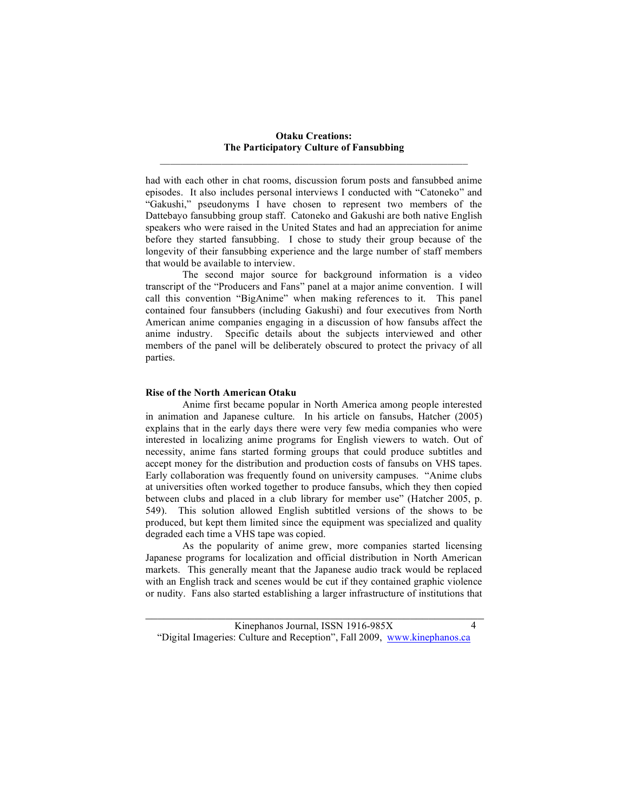had with each other in chat rooms, discussion forum posts and fansubbed anime episodes. It also includes personal interviews I conducted with "Catoneko" and "Gakushi," pseudonyms I have chosen to represent two members of the Dattebayo fansubbing group staff. Catoneko and Gakushi are both native English speakers who were raised in the United States and had an appreciation for anime before they started fansubbing. I chose to study their group because of the longevity of their fansubbing experience and the large number of staff members that would be available to interview.

The second major source for background information is a video transcript of the "Producers and Fans" panel at a major anime convention. I will call this convention "BigAnime" when making references to it. This panel contained four fansubbers (including Gakushi) and four executives from North American anime companies engaging in a discussion of how fansubs affect the anime industry. Specific details about the subjects interviewed and other members of the panel will be deliberately obscured to protect the privacy of all parties.

#### **Rise of the North American Otaku**

Anime first became popular in North America among people interested in animation and Japanese culture. In his article on fansubs, Hatcher (2005) explains that in the early days there were very few media companies who were interested in localizing anime programs for English viewers to watch. Out of necessity, anime fans started forming groups that could produce subtitles and accept money for the distribution and production costs of fansubs on VHS tapes. Early collaboration was frequently found on university campuses. "Anime clubs at universities often worked together to produce fansubs, which they then copied between clubs and placed in a club library for member use" (Hatcher 2005, p. 549). This solution allowed English subtitled versions of the shows to be produced, but kept them limited since the equipment was specialized and quality degraded each time a VHS tape was copied.

As the popularity of anime grew, more companies started licensing Japanese programs for localization and official distribution in North American markets. This generally meant that the Japanese audio track would be replaced with an English track and scenes would be cut if they contained graphic violence or nudity. Fans also started establishing a larger infrastructure of institutions that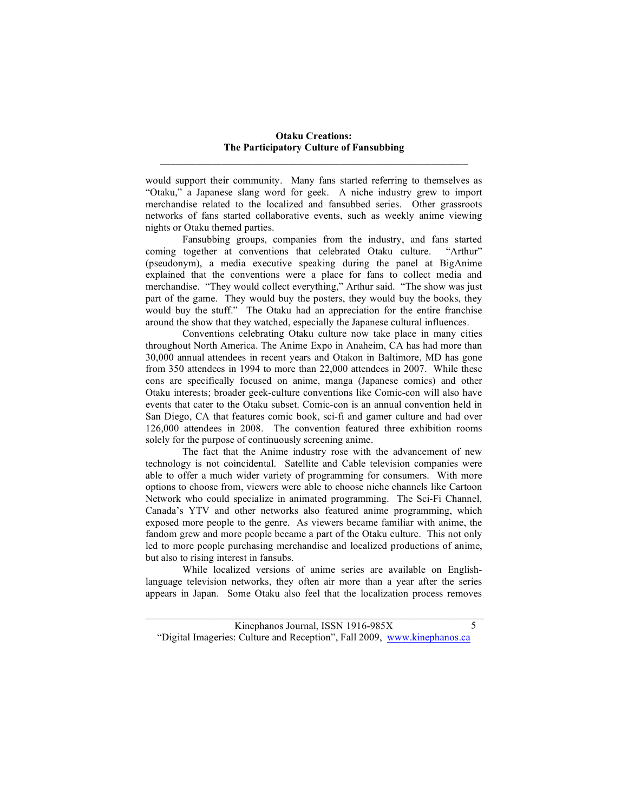would support their community. Many fans started referring to themselves as "Otaku," a Japanese slang word for geek. A niche industry grew to import merchandise related to the localized and fansubbed series. Other grassroots networks of fans started collaborative events, such as weekly anime viewing nights or Otaku themed parties.

Fansubbing groups, companies from the industry, and fans started coming together at conventions that celebrated Otaku culture. "Arthur" (pseudonym), a media executive speaking during the panel at BigAnime explained that the conventions were a place for fans to collect media and merchandise. "They would collect everything," Arthur said. "The show was just part of the game. They would buy the posters, they would buy the books, they would buy the stuff." The Otaku had an appreciation for the entire franchise around the show that they watched, especially the Japanese cultural influences.

Conventions celebrating Otaku culture now take place in many cities throughout North America. The Anime Expo in Anaheim, CA has had more than 30,000 annual attendees in recent years and Otakon in Baltimore, MD has gone from 350 attendees in 1994 to more than 22,000 attendees in 2007. While these cons are specifically focused on anime, manga (Japanese comics) and other Otaku interests; broader geek-culture conventions like Comic-con will also have events that cater to the Otaku subset. Comic-con is an annual convention held in San Diego, CA that features comic book, sci-fi and gamer culture and had over 126,000 attendees in 2008. The convention featured three exhibition rooms solely for the purpose of continuously screening anime.

The fact that the Anime industry rose with the advancement of new technology is not coincidental. Satellite and Cable television companies were able to offer a much wider variety of programming for consumers. With more options to choose from, viewers were able to choose niche channels like Cartoon Network who could specialize in animated programming. The Sci-Fi Channel, Canada's YTV and other networks also featured anime programming, which exposed more people to the genre. As viewers became familiar with anime, the fandom grew and more people became a part of the Otaku culture. This not only led to more people purchasing merchandise and localized productions of anime, but also to rising interest in fansubs.

While localized versions of anime series are available on Englishlanguage television networks, they often air more than a year after the series appears in Japan. Some Otaku also feel that the localization process removes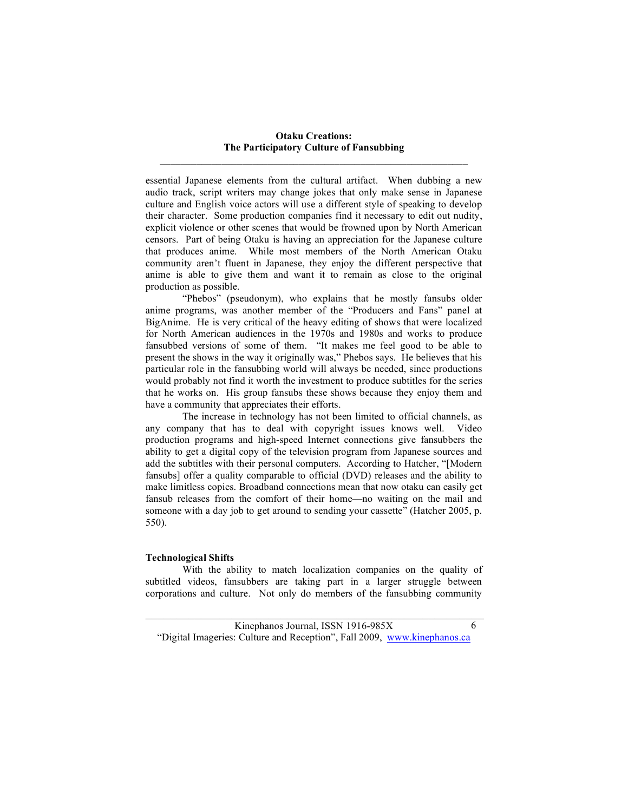essential Japanese elements from the cultural artifact. When dubbing a new audio track, script writers may change jokes that only make sense in Japanese culture and English voice actors will use a different style of speaking to develop their character. Some production companies find it necessary to edit out nudity, explicit violence or other scenes that would be frowned upon by North American censors. Part of being Otaku is having an appreciation for the Japanese culture that produces anime. While most members of the North American Otaku community aren't fluent in Japanese, they enjoy the different perspective that anime is able to give them and want it to remain as close to the original production as possible.

"Phebos" (pseudonym), who explains that he mostly fansubs older anime programs, was another member of the "Producers and Fans" panel at BigAnime. He is very critical of the heavy editing of shows that were localized for North American audiences in the 1970s and 1980s and works to produce fansubbed versions of some of them. "It makes me feel good to be able to present the shows in the way it originally was," Phebos says. He believes that his particular role in the fansubbing world will always be needed, since productions would probably not find it worth the investment to produce subtitles for the series that he works on. His group fansubs these shows because they enjoy them and have a community that appreciates their efforts.

The increase in technology has not been limited to official channels, as any company that has to deal with copyright issues knows well. Video production programs and high-speed Internet connections give fansubbers the ability to get a digital copy of the television program from Japanese sources and add the subtitles with their personal computers. According to Hatcher, "[Modern fansubs] offer a quality comparable to official (DVD) releases and the ability to make limitless copies. Broadband connections mean that now otaku can easily get fansub releases from the comfort of their home—no waiting on the mail and someone with a day job to get around to sending your cassette" (Hatcher 2005, p. 550).

## **Technological Shifts**

With the ability to match localization companies on the quality of subtitled videos, fansubbers are taking part in a larger struggle between corporations and culture. Not only do members of the fansubbing community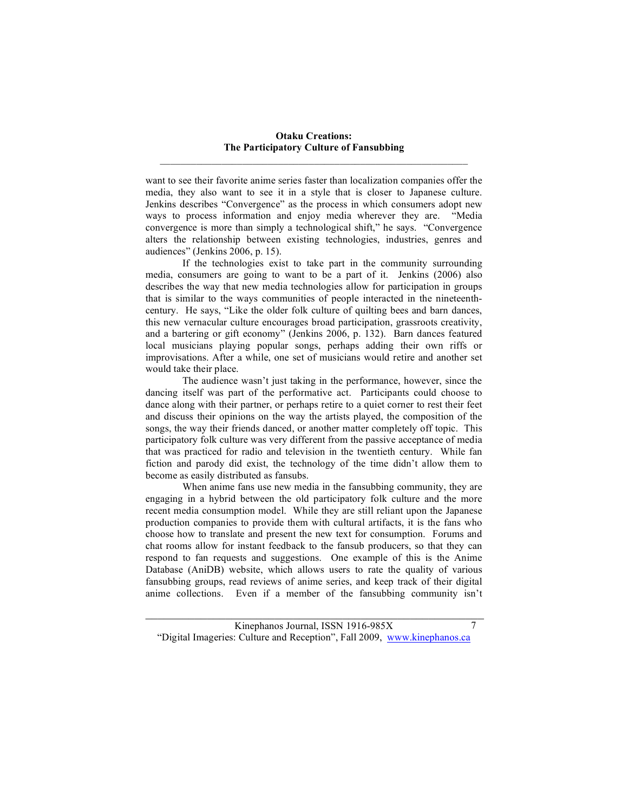want to see their favorite anime series faster than localization companies offer the media, they also want to see it in a style that is closer to Japanese culture. Jenkins describes "Convergence" as the process in which consumers adopt new ways to process information and enjoy media wherever they are. "Media convergence is more than simply a technological shift," he says. "Convergence alters the relationship between existing technologies, industries, genres and audiences" (Jenkins 2006, p. 15).

If the technologies exist to take part in the community surrounding media, consumers are going to want to be a part of it. Jenkins (2006) also describes the way that new media technologies allow for participation in groups that is similar to the ways communities of people interacted in the nineteenthcentury. He says, "Like the older folk culture of quilting bees and barn dances, this new vernacular culture encourages broad participation, grassroots creativity, and a bartering or gift economy" (Jenkins 2006, p. 132). Barn dances featured local musicians playing popular songs, perhaps adding their own riffs or improvisations. After a while, one set of musicians would retire and another set would take their place.

The audience wasn't just taking in the performance, however, since the dancing itself was part of the performative act. Participants could choose to dance along with their partner, or perhaps retire to a quiet corner to rest their feet and discuss their opinions on the way the artists played, the composition of the songs, the way their friends danced, or another matter completely off topic. This participatory folk culture was very different from the passive acceptance of media that was practiced for radio and television in the twentieth century. While fan fiction and parody did exist, the technology of the time didn't allow them to become as easily distributed as fansubs.

When anime fans use new media in the fansubbing community, they are engaging in a hybrid between the old participatory folk culture and the more recent media consumption model. While they are still reliant upon the Japanese production companies to provide them with cultural artifacts, it is the fans who choose how to translate and present the new text for consumption. Forums and chat rooms allow for instant feedback to the fansub producers, so that they can respond to fan requests and suggestions. One example of this is the Anime Database (AniDB) website, which allows users to rate the quality of various fansubbing groups, read reviews of anime series, and keep track of their digital anime collections. Even if a member of the fansubbing community isn't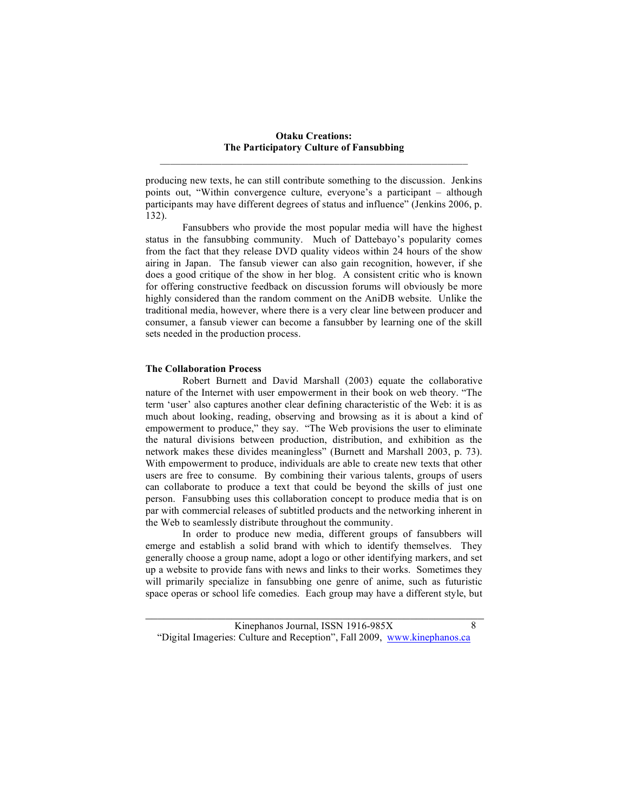producing new texts, he can still contribute something to the discussion. Jenkins points out, "Within convergence culture, everyone's a participant – although participants may have different degrees of status and influence" (Jenkins 2006, p. 132).

Fansubbers who provide the most popular media will have the highest status in the fansubbing community. Much of Dattebayo's popularity comes from the fact that they release DVD quality videos within 24 hours of the show airing in Japan. The fansub viewer can also gain recognition, however, if she does a good critique of the show in her blog. A consistent critic who is known for offering constructive feedback on discussion forums will obviously be more highly considered than the random comment on the AniDB website. Unlike the traditional media, however, where there is a very clear line between producer and consumer, a fansub viewer can become a fansubber by learning one of the skill sets needed in the production process.

#### **The Collaboration Process**

Robert Burnett and David Marshall (2003) equate the collaborative nature of the Internet with user empowerment in their book on web theory. "The term 'user' also captures another clear defining characteristic of the Web: it is as much about looking, reading, observing and browsing as it is about a kind of empowerment to produce," they say. "The Web provisions the user to eliminate the natural divisions between production, distribution, and exhibition as the network makes these divides meaningless" (Burnett and Marshall 2003, p. 73). With empowerment to produce, individuals are able to create new texts that other users are free to consume. By combining their various talents, groups of users can collaborate to produce a text that could be beyond the skills of just one person. Fansubbing uses this collaboration concept to produce media that is on par with commercial releases of subtitled products and the networking inherent in the Web to seamlessly distribute throughout the community.

In order to produce new media, different groups of fansubbers will emerge and establish a solid brand with which to identify themselves. They generally choose a group name, adopt a logo or other identifying markers, and set up a website to provide fans with news and links to their works. Sometimes they will primarily specialize in fansubbing one genre of anime, such as futuristic space operas or school life comedies. Each group may have a different style, but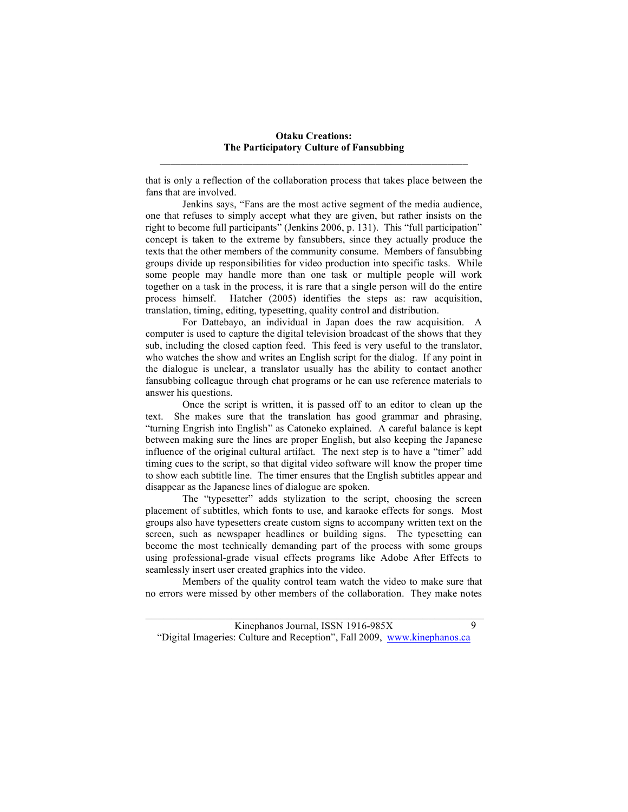that is only a reflection of the collaboration process that takes place between the fans that are involved.

Jenkins says, "Fans are the most active segment of the media audience, one that refuses to simply accept what they are given, but rather insists on the right to become full participants" (Jenkins 2006, p. 131). This "full participation" concept is taken to the extreme by fansubbers, since they actually produce the texts that the other members of the community consume. Members of fansubbing groups divide up responsibilities for video production into specific tasks. While some people may handle more than one task or multiple people will work together on a task in the process, it is rare that a single person will do the entire process himself. Hatcher (2005) identifies the steps as: raw acquisition, translation, timing, editing, typesetting, quality control and distribution.

For Dattebayo, an individual in Japan does the raw acquisition. A computer is used to capture the digital television broadcast of the shows that they sub, including the closed caption feed. This feed is very useful to the translator, who watches the show and writes an English script for the dialog. If any point in the dialogue is unclear, a translator usually has the ability to contact another fansubbing colleague through chat programs or he can use reference materials to answer his questions.

Once the script is written, it is passed off to an editor to clean up the text. She makes sure that the translation has good grammar and phrasing, "turning Engrish into English" as Catoneko explained. A careful balance is kept between making sure the lines are proper English, but also keeping the Japanese influence of the original cultural artifact. The next step is to have a "timer" add timing cues to the script, so that digital video software will know the proper time to show each subtitle line. The timer ensures that the English subtitles appear and disappear as the Japanese lines of dialogue are spoken.

The "typesetter" adds stylization to the script, choosing the screen placement of subtitles, which fonts to use, and karaoke effects for songs. Most groups also have typesetters create custom signs to accompany written text on the screen, such as newspaper headlines or building signs. The typesetting can become the most technically demanding part of the process with some groups using professional-grade visual effects programs like Adobe After Effects to seamlessly insert user created graphics into the video.

Members of the quality control team watch the video to make sure that no errors were missed by other members of the collaboration. They make notes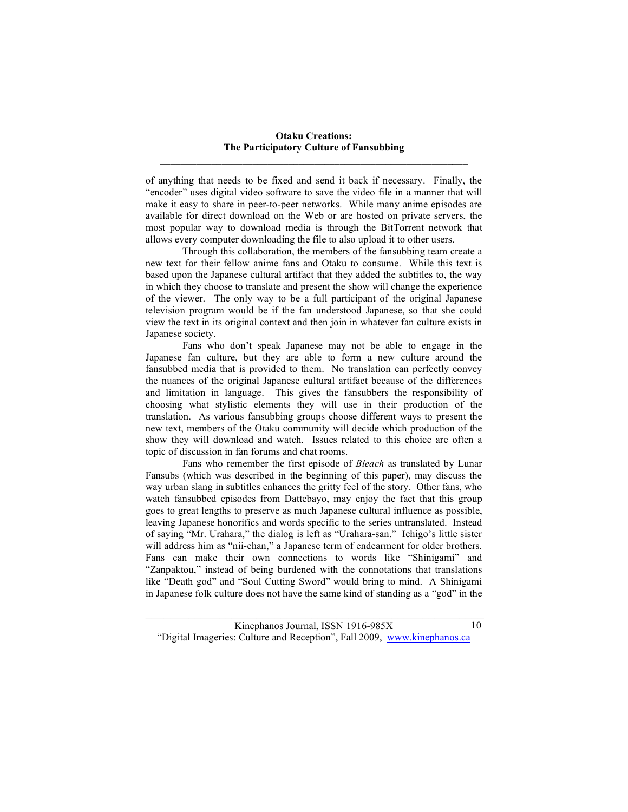of anything that needs to be fixed and send it back if necessary. Finally, the "encoder" uses digital video software to save the video file in a manner that will make it easy to share in peer-to-peer networks. While many anime episodes are available for direct download on the Web or are hosted on private servers, the most popular way to download media is through the BitTorrent network that allows every computer downloading the file to also upload it to other users.

Through this collaboration, the members of the fansubbing team create a new text for their fellow anime fans and Otaku to consume. While this text is based upon the Japanese cultural artifact that they added the subtitles to, the way in which they choose to translate and present the show will change the experience of the viewer. The only way to be a full participant of the original Japanese television program would be if the fan understood Japanese, so that she could view the text in its original context and then join in whatever fan culture exists in Japanese society.

Fans who don't speak Japanese may not be able to engage in the Japanese fan culture, but they are able to form a new culture around the fansubbed media that is provided to them. No translation can perfectly convey the nuances of the original Japanese cultural artifact because of the differences and limitation in language. This gives the fansubbers the responsibility of choosing what stylistic elements they will use in their production of the translation. As various fansubbing groups choose different ways to present the new text, members of the Otaku community will decide which production of the show they will download and watch. Issues related to this choice are often a topic of discussion in fan forums and chat rooms.

Fans who remember the first episode of *Bleach* as translated by Lunar Fansubs (which was described in the beginning of this paper), may discuss the way urban slang in subtitles enhances the gritty feel of the story. Other fans, who watch fansubbed episodes from Dattebayo, may enjoy the fact that this group goes to great lengths to preserve as much Japanese cultural influence as possible, leaving Japanese honorifics and words specific to the series untranslated. Instead of saying "Mr. Urahara," the dialog is left as "Urahara-san." Ichigo's little sister will address him as "nii-chan," a Japanese term of endearment for older brothers. Fans can make their own connections to words like "Shinigami" and "Zanpaktou," instead of being burdened with the connotations that translations like "Death god" and "Soul Cutting Sword" would bring to mind. A Shinigami in Japanese folk culture does not have the same kind of standing as a "god" in the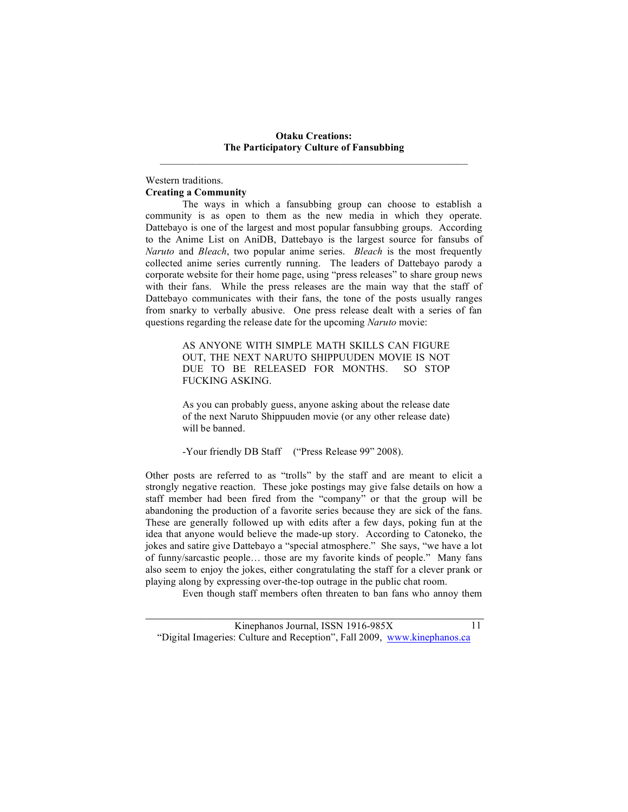#### Western traditions. **Creating a Community**

The ways in which a fansubbing group can choose to establish a community is as open to them as the new media in which they operate. Dattebayo is one of the largest and most popular fansubbing groups. According to the Anime List on AniDB, Dattebayo is the largest source for fansubs of *Naruto* and *Bleach*, two popular anime series. *Bleach* is the most frequently collected anime series currently running. The leaders of Dattebayo parody a corporate website for their home page, using "press releases" to share group news with their fans. While the press releases are the main way that the staff of Dattebayo communicates with their fans, the tone of the posts usually ranges from snarky to verbally abusive. One press release dealt with a series of fan questions regarding the release date for the upcoming *Naruto* movie:

> AS ANYONE WITH SIMPLE MATH SKILLS CAN FIGURE OUT, THE NEXT NARUTO SHIPPUUDEN MOVIE IS NOT DUE TO BE RELEASED FOR MONTHS. SO STOP FUCKING ASKING.

> As you can probably guess, anyone asking about the release date of the next Naruto Shippuuden movie (or any other release date) will be banned.

-Your friendly DB Staff ("Press Release 99" 2008).

Other posts are referred to as "trolls" by the staff and are meant to elicit a strongly negative reaction. These joke postings may give false details on how a staff member had been fired from the "company" or that the group will be abandoning the production of a favorite series because they are sick of the fans. These are generally followed up with edits after a few days, poking fun at the idea that anyone would believe the made-up story. According to Catoneko, the jokes and satire give Dattebayo a "special atmosphere." She says, "we have a lot of funny/sarcastic people… those are my favorite kinds of people." Many fans also seem to enjoy the jokes, either congratulating the staff for a clever prank or playing along by expressing over-the-top outrage in the public chat room.

Even though staff members often threaten to ban fans who annoy them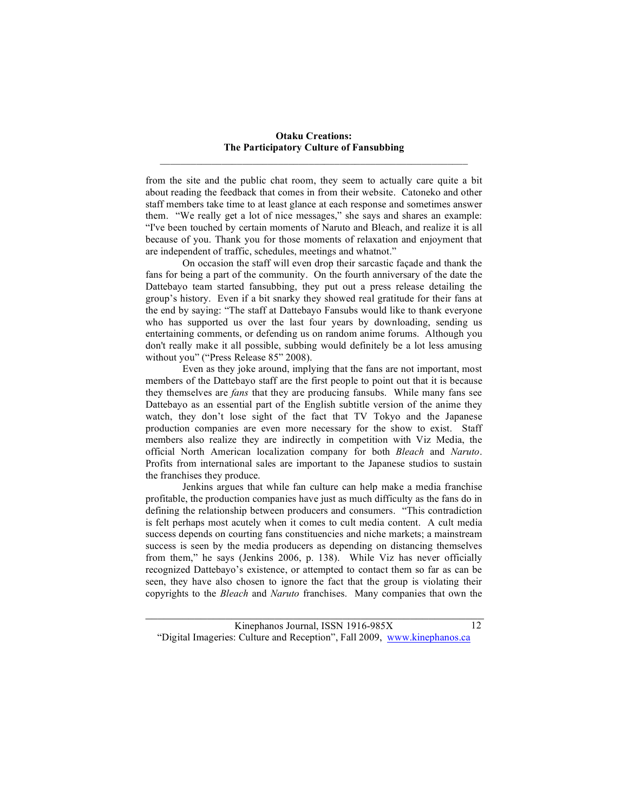from the site and the public chat room, they seem to actually care quite a bit about reading the feedback that comes in from their website. Catoneko and other staff members take time to at least glance at each response and sometimes answer them. "We really get a lot of nice messages," she says and shares an example: "I've been touched by certain moments of Naruto and Bleach, and realize it is all because of you. Thank you for those moments of relaxation and enjoyment that are independent of traffic, schedules, meetings and whatnot."

On occasion the staff will even drop their sarcastic façade and thank the fans for being a part of the community. On the fourth anniversary of the date the Dattebayo team started fansubbing, they put out a press release detailing the group's history. Even if a bit snarky they showed real gratitude for their fans at the end by saying: "The staff at Dattebayo Fansubs would like to thank everyone who has supported us over the last four years by downloading, sending us entertaining comments, or defending us on random anime forums. Although you don't really make it all possible, subbing would definitely be a lot less amusing without you" ("Press Release 85" 2008).

Even as they joke around, implying that the fans are not important, most members of the Dattebayo staff are the first people to point out that it is because they themselves are *fans* that they are producing fansubs. While many fans see Dattebayo as an essential part of the English subtitle version of the anime they watch, they don't lose sight of the fact that TV Tokyo and the Japanese production companies are even more necessary for the show to exist. Staff members also realize they are indirectly in competition with Viz Media, the official North American localization company for both *Bleach* and *Naruto*. Profits from international sales are important to the Japanese studios to sustain the franchises they produce.

Jenkins argues that while fan culture can help make a media franchise profitable, the production companies have just as much difficulty as the fans do in defining the relationship between producers and consumers. "This contradiction is felt perhaps most acutely when it comes to cult media content. A cult media success depends on courting fans constituencies and niche markets; a mainstream success is seen by the media producers as depending on distancing themselves from them," he says (Jenkins 2006, p. 138). While Viz has never officially recognized Dattebayo's existence, or attempted to contact them so far as can be seen, they have also chosen to ignore the fact that the group is violating their copyrights to the *Bleach* and *Naruto* franchises. Many companies that own the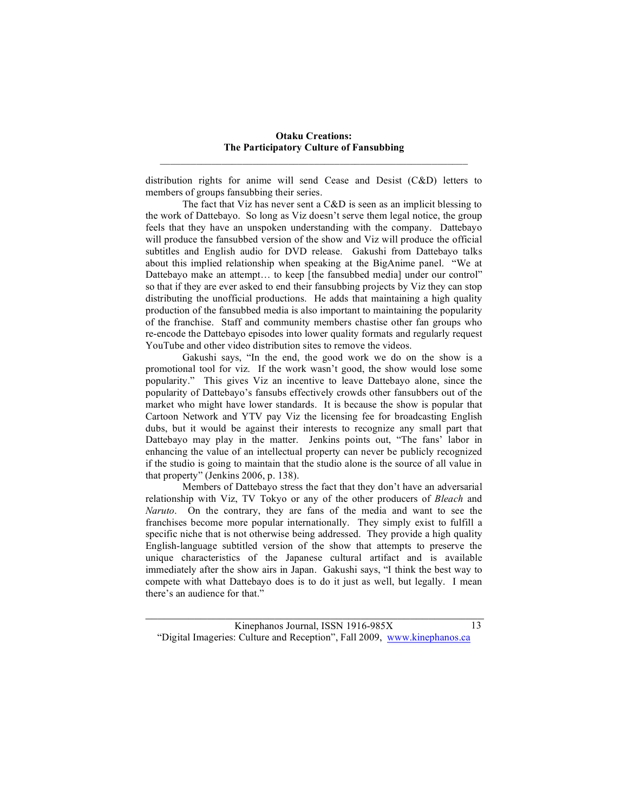distribution rights for anime will send Cease and Desist (C&D) letters to members of groups fansubbing their series.

The fact that Viz has never sent a C&D is seen as an implicit blessing to the work of Dattebayo. So long as Viz doesn't serve them legal notice, the group feels that they have an unspoken understanding with the company. Dattebayo will produce the fansubbed version of the show and Viz will produce the official subtitles and English audio for DVD release. Gakushi from Dattebayo talks about this implied relationship when speaking at the BigAnime panel. "We at Dattebayo make an attempt... to keep [the fansubbed media] under our control" so that if they are ever asked to end their fansubbing projects by Viz they can stop distributing the unofficial productions. He adds that maintaining a high quality production of the fansubbed media is also important to maintaining the popularity of the franchise. Staff and community members chastise other fan groups who re-encode the Dattebayo episodes into lower quality formats and regularly request YouTube and other video distribution sites to remove the videos.

Gakushi says, "In the end, the good work we do on the show is a promotional tool for viz. If the work wasn't good, the show would lose some popularity." This gives Viz an incentive to leave Dattebayo alone, since the popularity of Dattebayo's fansubs effectively crowds other fansubbers out of the market who might have lower standards. It is because the show is popular that Cartoon Network and YTV pay Viz the licensing fee for broadcasting English dubs, but it would be against their interests to recognize any small part that Dattebayo may play in the matter. Jenkins points out, "The fans' labor in enhancing the value of an intellectual property can never be publicly recognized if the studio is going to maintain that the studio alone is the source of all value in that property" (Jenkins 2006, p. 138).

Members of Dattebayo stress the fact that they don't have an adversarial relationship with Viz, TV Tokyo or any of the other producers of *Bleach* and *Naruto*. On the contrary, they are fans of the media and want to see the franchises become more popular internationally. They simply exist to fulfill a specific niche that is not otherwise being addressed. They provide a high quality English-language subtitled version of the show that attempts to preserve the unique characteristics of the Japanese cultural artifact and is available immediately after the show airs in Japan. Gakushi says, "I think the best way to compete with what Dattebayo does is to do it just as well, but legally. I mean there's an audience for that."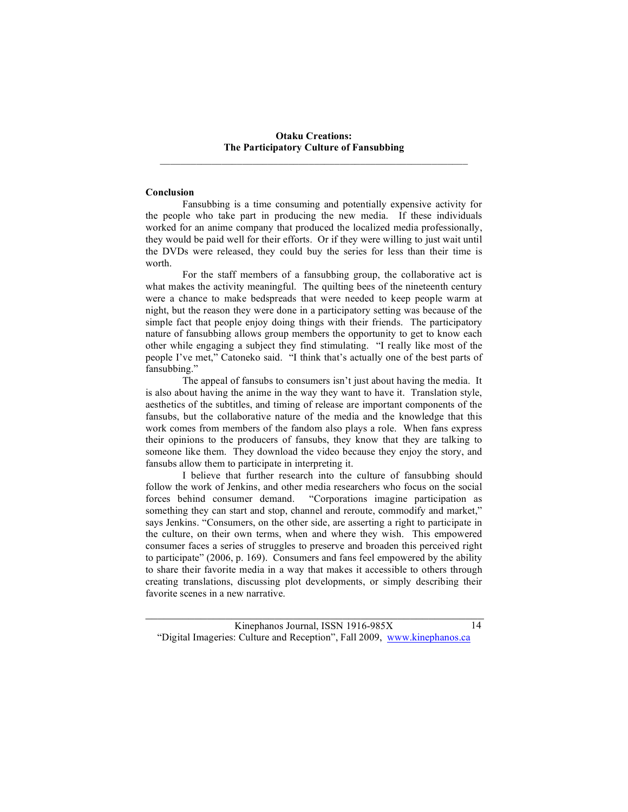#### **Conclusion**

Fansubbing is a time consuming and potentially expensive activity for the people who take part in producing the new media. If these individuals worked for an anime company that produced the localized media professionally, they would be paid well for their efforts. Or if they were willing to just wait until the DVDs were released, they could buy the series for less than their time is worth.

For the staff members of a fansubbing group, the collaborative act is what makes the activity meaningful. The quilting bees of the nineteenth century were a chance to make bedspreads that were needed to keep people warm at night, but the reason they were done in a participatory setting was because of the simple fact that people enjoy doing things with their friends. The participatory nature of fansubbing allows group members the opportunity to get to know each other while engaging a subject they find stimulating. "I really like most of the people I've met," Catoneko said. "I think that's actually one of the best parts of fansubbing."

The appeal of fansubs to consumers isn't just about having the media. It is also about having the anime in the way they want to have it. Translation style, aesthetics of the subtitles, and timing of release are important components of the fansubs, but the collaborative nature of the media and the knowledge that this work comes from members of the fandom also plays a role. When fans express their opinions to the producers of fansubs, they know that they are talking to someone like them. They download the video because they enjoy the story, and fansubs allow them to participate in interpreting it.

I believe that further research into the culture of fansubbing should follow the work of Jenkins, and other media researchers who focus on the social forces behind consumer demand. "Corporations imagine participation as something they can start and stop, channel and reroute, commodify and market," says Jenkins. "Consumers, on the other side, are asserting a right to participate in the culture, on their own terms, when and where they wish. This empowered consumer faces a series of struggles to preserve and broaden this perceived right to participate" (2006, p. 169). Consumers and fans feel empowered by the ability to share their favorite media in a way that makes it accessible to others through creating translations, discussing plot developments, or simply describing their favorite scenes in a new narrative.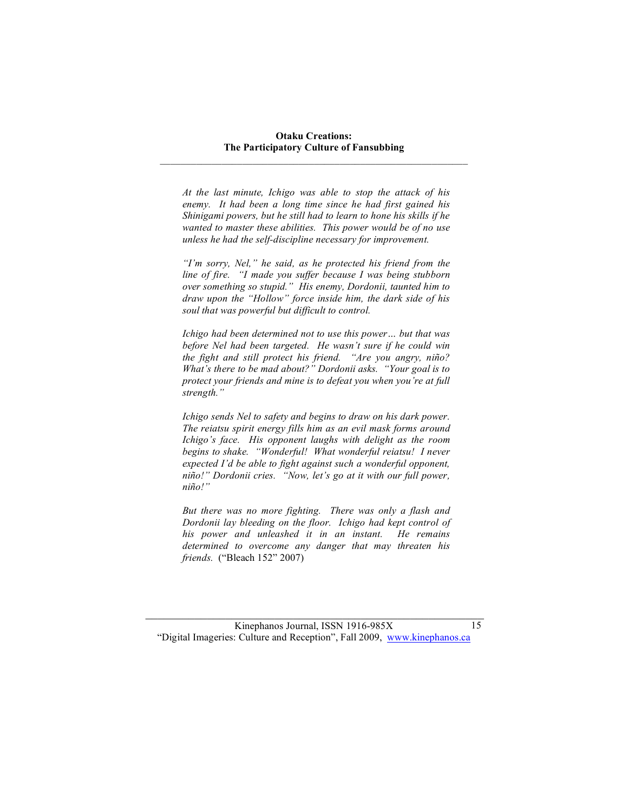*At the last minute, Ichigo was able to stop the attack of his enemy. It had been a long time since he had first gained his Shinigami powers, but he still had to learn to hone his skills if he wanted to master these abilities. This power would be of no use unless he had the self-discipline necessary for improvement.*

*"I'm sorry, Nel," he said, as he protected his friend from the line of fire. "I made you suffer because I was being stubborn over something so stupid." His enemy, Dordonii, taunted him to draw upon the "Hollow" force inside him, the dark side of his soul that was powerful but difficult to control.*

*Ichigo had been determined not to use this power… but that was before Nel had been targeted. He wasn't sure if he could win the fight and still protect his friend. "Are you angry, niño? What's there to be mad about?" Dordonii asks. "Your goal is to protect your friends and mine is to defeat you when you're at full strength."*

*Ichigo sends Nel to safety and begins to draw on his dark power. The reiatsu spirit energy fills him as an evil mask forms around Ichigo's face. His opponent laughs with delight as the room begins to shake. "Wonderful! What wonderful reiatsu! I never expected I'd be able to fight against such a wonderful opponent, niño!" Dordonii cries. "Now, let's go at it with our full power, niño!"*

*But there was no more fighting. There was only a flash and Dordonii lay bleeding on the floor. Ichigo had kept control of his power and unleashed it in an instant. He remains determined to overcome any danger that may threaten his friends.* ("Bleach 152" 2007)

 $\mathcal{L}_\text{max}$  , and the contribution of the contribution of the contribution of the contribution of the contribution of the contribution of the contribution of the contribution of the contribution of the contribution of t Kinephanos Journal, ISSN 1916-985X "Digital Imageries: Culture and Reception", Fall 2009, www.kinephanos.ca

15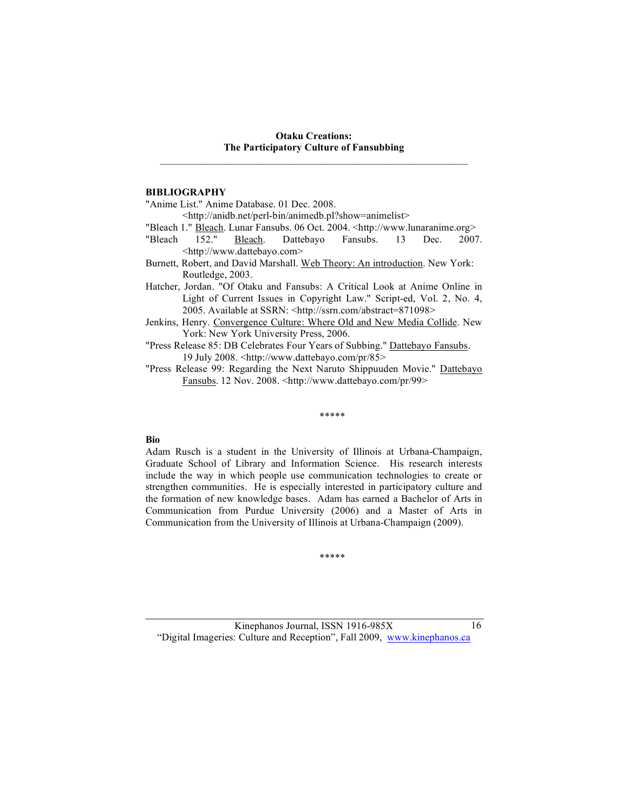## **BIBLIOGRAPHY**

"Anime List." Anime Database. 01 Dec. 2008.

<http://anidb.net/perl-bin/animedb.pl?show=animelist>

"Bleach 1." Bleach. Lunar Fansubs. 06 Oct. 2004. <http://www.lunaranime.org>

- "Bleach 152." Bleach. Dattebayo Fansubs. 13 Dec. 2007. <http://www.dattebayo.com>
- Burnett, Robert, and David Marshall. Web Theory: An introduction. New York: Routledge, 2003.
- Hatcher, Jordan. "Of Otaku and Fansubs: A Critical Look at Anime Online in Light of Current Issues in Copyright Law." Script-ed, Vol. 2, No. 4, 2005. Available at SSRN: <http://ssrn.com/abstract=871098>
- Jenkins, Henry. Convergence Culture: Where Old and New Media Collide. New York: New York University Press, 2006.
- "Press Release 85: DB Celebrates Four Years of Subbing." Dattebayo Fansubs. 19 July 2008. <http://www.dattebayo.com/pr/85>
- "Press Release 99: Regarding the Next Naruto Shippuuden Movie." Dattebayo Fansubs. 12 Nov. 2008. <http://www.dattebayo.com/pr/99>

\*\*\*\*\*

# **Bio**

Adam Rusch is a student in the University of Illinois at Urbana-Champaign, Graduate School of Library and Information Science. His research interests include the way in which people use communication technologies to create or strengthen communities. He is especially interested in participatory culture and the formation of new knowledge bases. Adam has earned a Bachelor of Arts in Communication from Purdue University (2006) and a Master of Arts in Communication from the University of Illinois at Urbana-Champaign (2009).

\*\*\*\*\*

 $\mathcal{L}_\text{max}$  , and the contribution of the contribution of the contribution of the contribution of the contribution of the contribution of the contribution of the contribution of the contribution of the contribution of t Kinephanos Journal, ISSN 1916-985X "Digital Imageries: Culture and Reception", Fall 2009, www.kinephanos.ca

16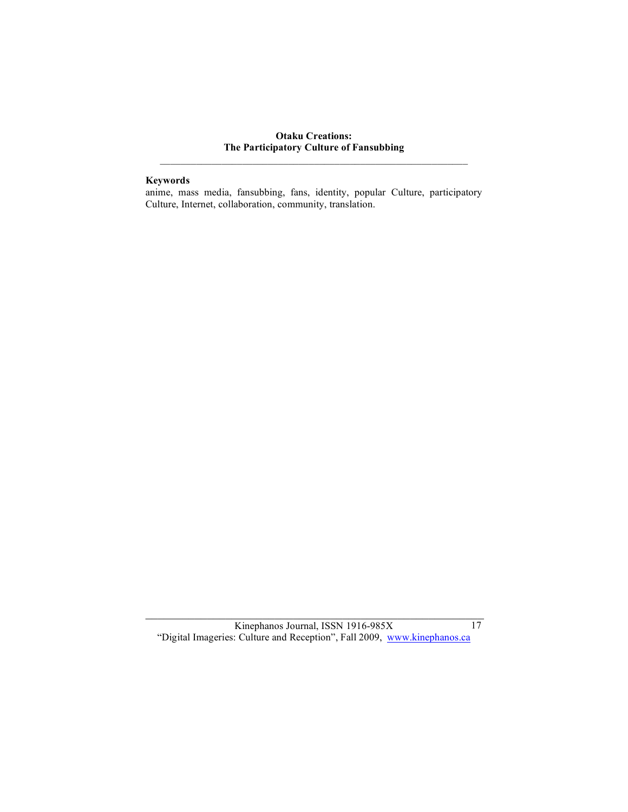# **Keywords**

anime, mass media, fansubbing, fans, identity, popular Culture, participatory Culture, Internet, collaboration, community, translation.